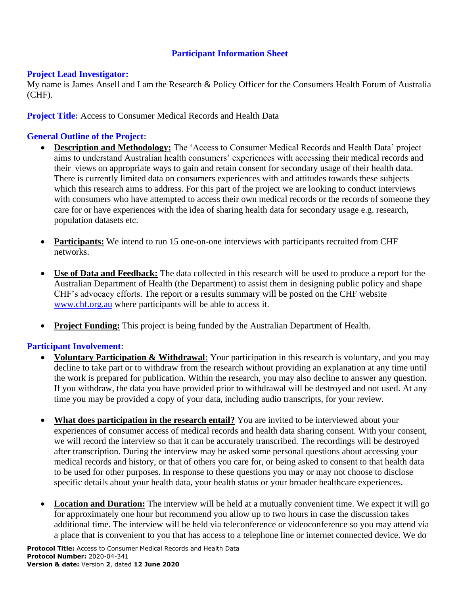## **Participant Information Sheet**

#### **Project Lead Investigator:**

My name is James Ansell and I am the Research & Policy Officer for the Consumers Health Forum of Australia (CHF).

### **Project Title:** Access to Consumer Medical Records and Health Data

## **General Outline of the Project:**

- **Description and Methodology:** The 'Access to Consumer Medical Records and Health Data' project aims to understand Australian health consumers' experiences with accessing their medical records and their views on appropriate ways to gain and retain consent for secondary usage of their health data. There is currently limited data on consumers experiences with and attitudes towards these subjects which this research aims to address. For this part of the project we are looking to conduct interviews with consumers who have attempted to access their own medical records or the records of someone they care for or have experiences with the idea of sharing health data for secondary usage e.g. research, population datasets etc.
- **Participants:** We intend to run 15 one-on-one interviews with participants recruited from CHF networks.
- **Use of Data and Feedback:** The data collected in this research will be used to produce a report for the Australian Department of Health (the Department) to assist them in designing public policy and shape CHF's advocacy efforts. The report or a results summary will be posted on the CHF website [www.chf.org.au](http://www.chf.org.au/) where participants will be able to access it.
- **Project Funding:** This project is being funded by the Australian Department of Health.

### **Participant Involvement:**

- **Voluntary Participation & Withdrawal:** Your participation in this research is voluntary, and you may decline to take part or to withdraw from the research without providing an explanation at any time until the work is prepared for publication. Within the research, you may also decline to answer any question. If you withdraw, the data you have provided prior to withdrawal will be destroyed and not used. At any time you may be provided a copy of your data, including audio transcripts, for your review.
- What does participation in the research entail? You are invited to be interviewed about your experiences of consumer access of medical records and health data sharing consent. With your consent, we will record the interview so that it can be accurately transcribed. The recordings will be destroyed after transcription. During the interview may be asked some personal questions about accessing your medical records and history, or that of others you care for, or being asked to consent to that health data to be used for other purposes. In response to these questions you may or may not choose to disclose specific details about your health data, your health status or your broader healthcare experiences.
- **Location and Duration:** The interview will be held at a mutually convenient time. We expect it will go for approximately one hour but recommend you allow up to two hours in case the discussion takes additional time. The interview will be held via teleconference or videoconference so you may attend via a place that is convenient to you that has access to a telephone line or internet connected device. We do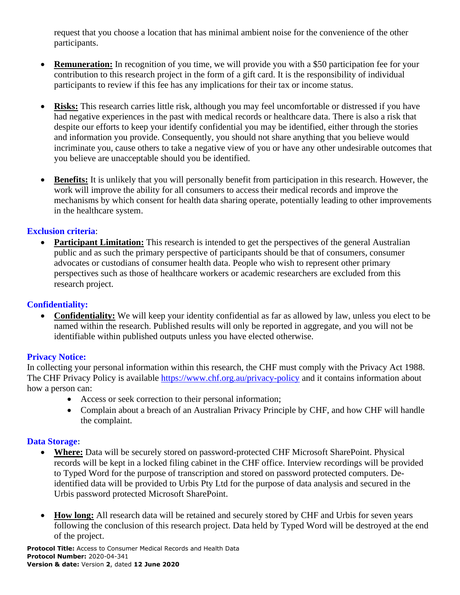request that you choose a location that has minimal ambient noise for the convenience of the other participants.

- **Remuneration:** In recognition of you time, we will provide you with a \$50 participation fee for your contribution to this research project in the form of a gift card. It is the responsibility of individual participants to review if this fee has any implications for their tax or income status.
- **Risks:** This research carries little risk, although you may feel uncomfortable or distressed if you have had negative experiences in the past with medical records or healthcare data. There is also a risk that despite our efforts to keep your identify confidential you may be identified, either through the stories and information you provide. Consequently, you should not share anything that you believe would incriminate you, cause others to take a negative view of you or have any other undesirable outcomes that you believe are unacceptable should you be identified.
- **Benefits:** It is unlikely that you will personally benefit from participation in this research. However, the work will improve the ability for all consumers to access their medical records and improve the mechanisms by which consent for health data sharing operate, potentially leading to other improvements in the healthcare system.

## **Exclusion criteria**:

**Participant Limitation:** This research is intended to get the perspectives of the general Australian public and as such the primary perspective of participants should be that of consumers, consumer advocates or custodians of consumer health data. People who wish to represent other primary perspectives such as those of healthcare workers or academic researchers are excluded from this research project.

# **Confidentiality:**

• **Confidentiality:** We will keep your identity confidential as far as allowed by law, unless you elect to be named within the research. Published results will only be reported in aggregate, and you will not be identifiable within published outputs unless you have elected otherwise.

# **Privacy Notice:**

In collecting your personal information within this research, the CHF must comply with the Privacy Act 1988. The CHF Privacy Policy is available<https://www.chf.org.au/privacy-policy> and it contains information about how a person can:

- Access or seek correction to their personal information;
- Complain about a breach of an Australian Privacy Principle by CHF, and how CHF will handle the complaint.

### **Data Storage:**

- **Where:** Data will be securely stored on password-protected CHF Microsoft SharePoint. Physical records will be kept in a locked filing cabinet in the CHF office. Interview recordings will be provided to Typed Word for the purpose of transcription and stored on password protected computers. Deidentified data will be provided to Urbis Pty Ltd for the purpose of data analysis and secured in the Urbis password protected Microsoft SharePoint.
- **How long:** All research data will be retained and securely stored by CHF and Urbis for seven years following the conclusion of this research project. Data held by Typed Word will be destroyed at the end of the project.

**Protocol Title:** Access to Consumer Medical Records and Health Data **Protocol Number:** 2020-04-341 **Version & date:** Version **2**, dated **12 June 2020**